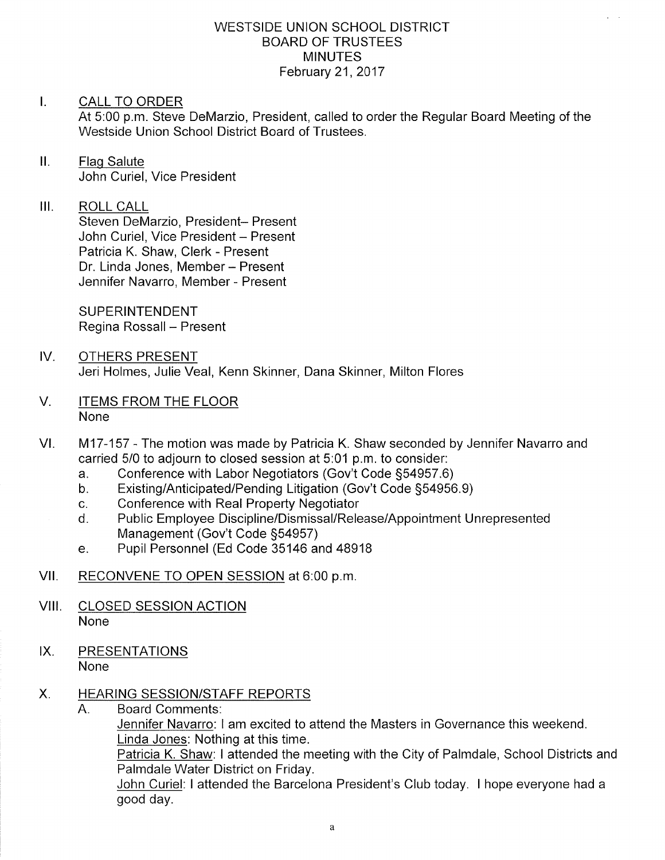#### WESTSIDE UNION SCHOOL DISTRICT BOARD OF TRUSTEES MINUTES February 21,2017

#### I. CALL TO ORDER

At 5:00 p.m. Steve DeMarzio, President, called to order the Regular Board Meeting of the Westside Union School District Board of Trustees.

ll. Flaq Salute John Curiel, Vice President

### III. ROLL CALL

Steven DeMarzio, President- Present John Curiel, Vice President - Present Patricia K. Shaw, Clerk - Present Dr. Linda Jones, Member - Present Jennifer Navarro, Member - Present

SUPERINTENDENT Regina Rossall - Present

- IV. OTHERS PRESENT Jeri Holmes, Julie Veal, Kenn Skinner, Dana Skinner, Milton Flores
- V ITEMS FROM THE FLOOR None
- VI. M17-157 The motion was made by Patricia K. Shaw seconded by Jennifer Navarro and carried 5/0 to adjourn to closed session at 5:01 p.m. to consider:<br>a. Conference with Labor Negotiators (Gov't Code §54957.6)
	-
	- a. Conference with Labor Negotiators (Gov't Code §54957.6)<br>b. Existing/Anticipated/Pending Litigation (Gov't Code §54956.9)<br>c. Conference with Real Property Negotiator
	-
	- c. Conference with Real Property Negotiator<br>d. Public Employee Discipline/Dismissal/Release/Appointment Unrepresented<br>Management (Gov't Code §54957)
	- e. Pupil Personnel (Ed Code 35146 and 48918
- Vll. RECONVENE TO OPEN SESSION at 6:00 p.m
- VIII. CLOSED SESSION ACTION None
- IX. PRESENTATIONS None

#### HEARING SESSION/STAFF REPORTS  $X_{\cdot}$

A. Board Comments:

Jennifer Navarro: I am excited to attend the Masters in Governance this weekend. Linda Jones: Nothing at this time

Patricia K. Shaw: I attended the meeting with the City of Palmdale, School Districts and Palmdale Water District on Friday.

John Curiel: I attended the Barcelona President's Club today. I hope everyone had a good day.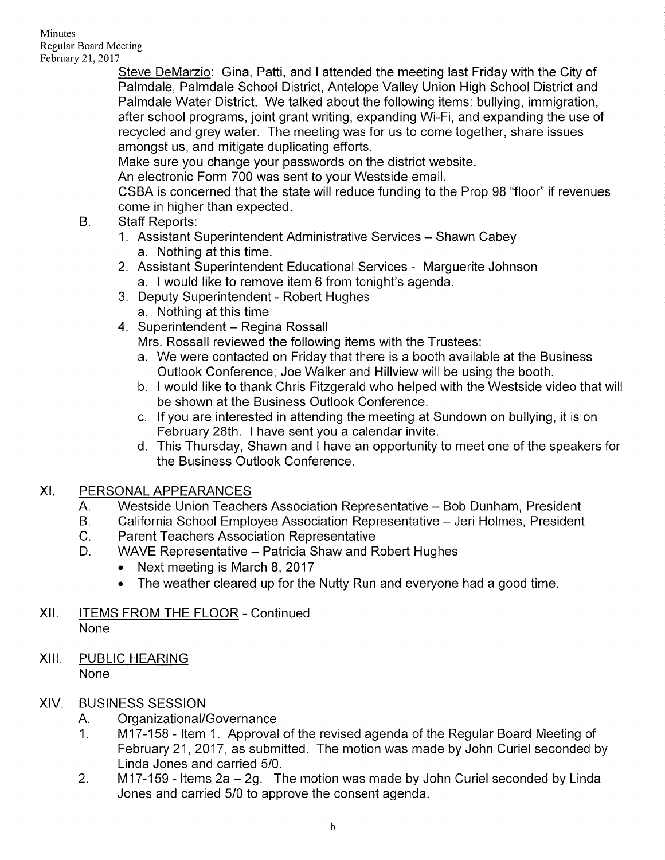Steve DeMarzio: Gina, Patti, and I attended the meeting last Friday with the City of Palmdale, Palmdale School District, Antelope Valley Union High School District and Palmdale Water District. We talked about the following items: bullying, immigration, after school programs, joint grant writing, expanding Wi-Fi, and expanding the use of recycled and grey water. The meeting was for us to come together, share issues amongst us, and mitigate duplicating efforts.

Make sure you change your passwords on the district website.

An electronic Form 700 was sent to your Westside email.

CSBA is concerned that the state will reduce funding to the Prop 98 "floor" if revenues come in higher than expected.<br>B. Staff Reports:

- - 1. Assistant Superintendent Administrative Services Shawn Cabey a. Nothing at this time.
	- 2. Assistant Superintendent Educational Services Marguerite Johnson a. I would like to remove item 6 from tonight's agenda. 3. Deputy Superintendent - Robert Hughes
	- -
	- 4. Superintendent Regina Rossall

Mrs. Rossall reviewed the following items with the Trustees:

- a. We were contacted on Friday that there is a booth available at the Business Outlook Conference; Joe Walker and Hillview will be using the booth. b. I would like to thank Chris Fitzgerald who helped with the Westside video that will
- be shown at the Business Outlook Conference.
- c. lf you are interested in attending the meeting at Sundown on bullying, it is on February 28th. I have sent you a calendar invite.
- d. This Thursday, Shawn and I have an opportunity to meet one of the speakers for the Business Outlook Conference.

# XI. PERSONAL APPEARANCES

- Westside Union Teachers Association Representative Bob Dunham, President A.
- California School Employee Association Representative Jeri Holmes, President B.
- Parent Teachers Association Representative  $C_{\cdot}$
- WAVE Representative Patricia Shaw and Robert Hughes D.
	- Next meeting is March 8, 2017
	- . The weather cleared up for the Nutty Run and everyone had a good time.
- Xll. ITEMS FROM THE FLOOR Continued None
- XIII. PUBLIC HEARING None

# XIV. BUSINESS SESSION

- 
- A. Organizational/Governance<br>1. M17-158 Item 1. Approval of the revised agenda of the Regular Board Meeting of February 21,2017, as submitted. The motion was made by John Curiel seconded by Linda Jones and carried 5/0.
- 2.  $M17-159$  Items 2a  $-$  2g. The motion was made by John Curiel seconded by Linda Jones and carried 5/0 to approve the consent agenda.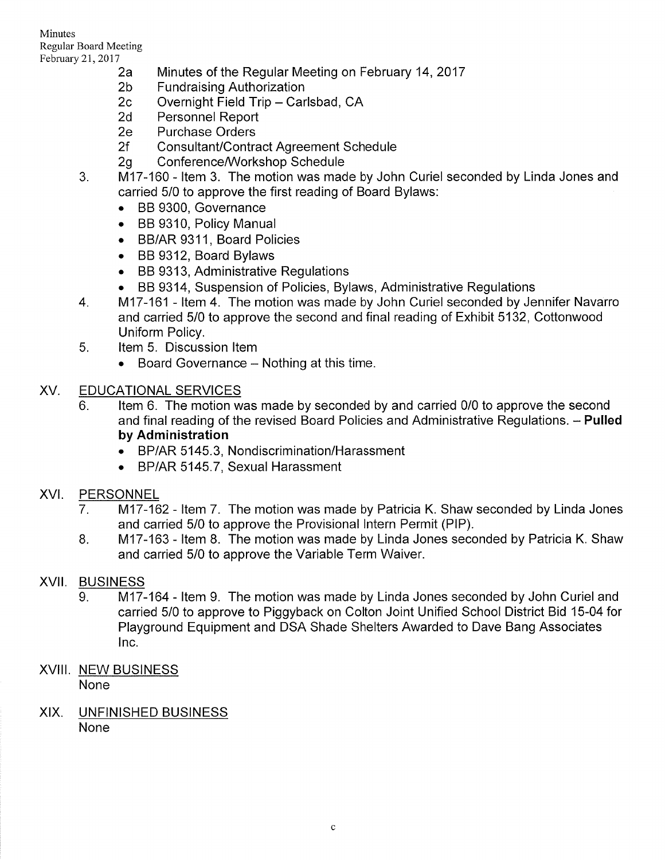Minutes Regular Board Meeting

- February 21, 2017<br>
2a Minutes of the Regular Meeting on February 14, 2017<br>
2b Fundraising Authorization<br>
2c Overnight Field Trip Carlsbad, CA<br>
2d Personnel Report<br>
2e Purchase Orders
	-
	-
	-
	-
	-
	-
	- 2f Consultant/Contract Agreement Schedule<br>2g Conference/Workshop Schedule<br>3. littem 3. The motion was made by John Curiel seconded by Linda Jones and carried 5/0 to approve the first reading of Board Bylaws:
		- . BB 9300, Governance
		- . BB 9310, Policy Manual
		- BB/AR 9311, Board Policies
		- . BB 9312, Board Bylaws
		-
		- BB 9313, Administrative Regulations<br>• BB 9314, Suspension of Policies, Bylaws, Administrative Regulations
	- 4. BB 9314, Buspension of Polician of Administrative Regulation of Administrations 4. 1.17-161 ltem 4. The motion was made by John Curiel seconded by Jennifer Navarro and carried 5/0 to approve the second and final reading of Exhibit 5132, Cottonwood Uniform Policy.<br>5. ltem 5. Discussion Item
	- - Board Governance Nothing at this time.

### XV. EDUCATIONAL SERVICES

- 6. Item 6. The motion was made by seconded by and carried 0/0 to approve the second and final reading of the revised Board Policies and Administrative Regulations. - Pulled by Administration
	- . BP/AR 5145.3, Nondiscrimination/Harassment
	- . BP/AR 5145.7, Sexual Harassment

# XVI. PERSONNEL

- 7. M17-162 Item 7. The motion was made by Patricia K. Shaw seconded by Linda Jones and carried 5/0 to approve the Provisional lntern Permit (PlP).
- M17-163 Item 8. The motion was made by Linda Jones seconded by Patricia K. Shaw and carried 5/0 to approve the Variable Term Waiver. 8

# XVII. BUSINESS

- 9. M17-164 Item 9. The motion was made by Linda Jones seconded by John Curiel and carried 5/0 to approve to Piggyback on Colton Joint Unified School District Bid 15-04 for Playground Equipment and DSA Shade Shelters Awarded to Dave Bang Associates lnc.
- XVIII. NEW BUSINESS None
- XIX. UNFINISHED BUSINESS None